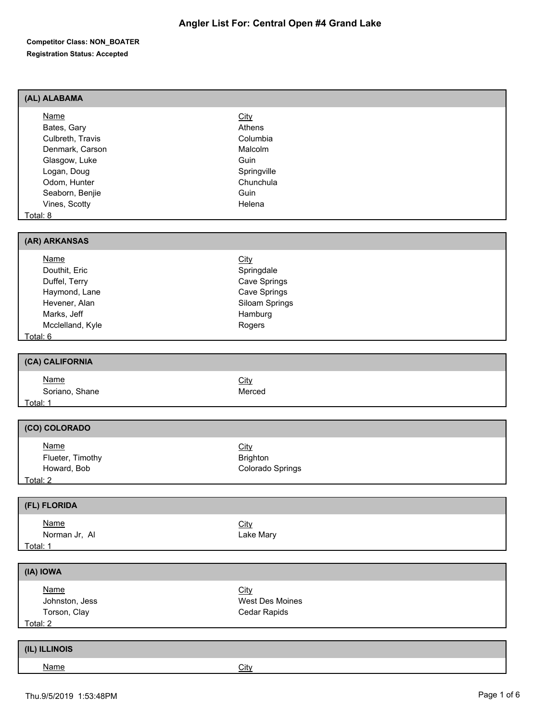| (AL) ALABAMA                                                                                                                                                      |                                                                                                  |
|-------------------------------------------------------------------------------------------------------------------------------------------------------------------|--------------------------------------------------------------------------------------------------|
| <b>Name</b><br>Bates, Gary<br>Culbreth, Travis<br>Denmark, Carson<br>Glasgow, Luke<br>Logan, Doug<br>Odom, Hunter<br>Seaborn, Benjie<br>Vines, Scotty<br>Total: 8 | City<br>Athens<br>Columbia<br>Malcolm<br>Guin<br>Springville<br>Chunchula<br>Guin<br>Helena      |
| (AR) ARKANSAS                                                                                                                                                     |                                                                                                  |
| <b>Name</b><br>Douthit, Eric<br>Duffel, Terry<br>Haymond, Lane<br>Hevener, Alan<br>Marks, Jeff<br>Mcclelland, Kyle<br>Total: 6                                    | <b>City</b><br>Springdale<br>Cave Springs<br>Cave Springs<br>Siloam Springs<br>Hamburg<br>Rogers |
|                                                                                                                                                                   |                                                                                                  |
| (CA) CALIFORNIA                                                                                                                                                   |                                                                                                  |
| <b>Name</b><br>Soriano, Shane<br>Total: 1                                                                                                                         | City<br>Merced                                                                                   |
| (CO) COLORADO                                                                                                                                                     |                                                                                                  |
| <b>Name</b><br>Flueter, Timothy<br>Howard, Bob<br>Total: 2                                                                                                        | City<br><b>Brighton</b><br>Colorado Springs                                                      |
| (FL) FLORIDA                                                                                                                                                      |                                                                                                  |
| <b>Name</b><br>Norman Jr, Al<br>Total: 1                                                                                                                          | City<br>Lake Mary                                                                                |
| (IA) IOWA                                                                                                                                                         |                                                                                                  |
| <b>Name</b><br>Johnston, Jess<br>Torson, Clay<br>Total: 2                                                                                                         | City<br>West Des Moines<br>Cedar Rapids                                                          |
| (IL) ILLINOIS                                                                                                                                                     |                                                                                                  |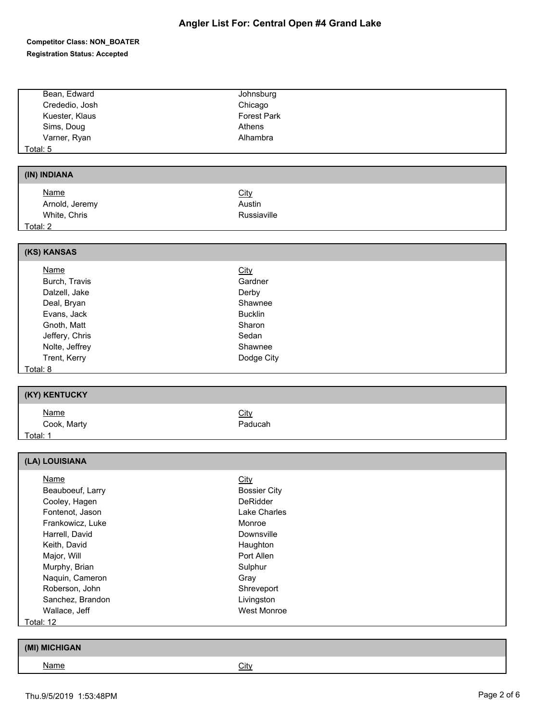# **Angler List For: Central Open #4 Grand Lake**

| Bean, Edward                      | Johnsburg           |
|-----------------------------------|---------------------|
| Crededio, Josh                    | Chicago             |
| Kuester, Klaus                    | <b>Forest Park</b>  |
| Sims, Doug                        | Athens              |
| Varner, Ryan                      | Alhambra            |
| Total: 5                          |                     |
|                                   |                     |
| (IN) INDIANA                      |                     |
| <b>Name</b>                       | <b>City</b>         |
| Arnold, Jeremy                    | Austin              |
| White, Chris                      | Russiaville         |
| Total: 2                          |                     |
|                                   |                     |
| (KS) KANSAS                       |                     |
| <b>Name</b>                       | <b>City</b>         |
| Burch, Travis                     | Gardner             |
| Dalzell, Jake                     | Derby               |
| Deal, Bryan                       | Shawnee             |
| Evans, Jack                       | <b>Bucklin</b>      |
| Gnoth, Matt                       | Sharon              |
| Jeffery, Chris                    | Sedan               |
| Nolte, Jeffrey                    | Shawnee             |
| Trent, Kerry                      | Dodge City          |
| Total: 8                          |                     |
| (KY) KENTUCKY                     |                     |
| <b>Name</b>                       | <b>City</b>         |
| Cook, Marty                       | Paducah             |
| <u>Total: 1</u>                   |                     |
|                                   |                     |
| (LA) LOUISIANA                    |                     |
| <b>Name</b>                       | <b>City</b>         |
| Beauboeuf, Larry                  | <b>Bossier City</b> |
| Cooley, Hagen                     | DeRidder            |
| Fontenot, Jason                   | Lake Charles        |
| Frankowicz, Luke                  | Monroe              |
| Harrell, David                    | Downsville          |
| Keith, David                      | Haughton            |
| Major, Will                       | Port Allen          |
| Murphy, Brian                     | Sulphur             |
| Naquin, Cameron<br>Roberson, John | Gray<br>Shreveport  |
|                                   |                     |
|                                   |                     |
| Sanchez, Brandon                  | Livingston          |
| Wallace, Jeff<br>Total: 12        | West Monroe         |

| (MI) MICHIGAN |      |
|---------------|------|
| <u>Name</u>   | City |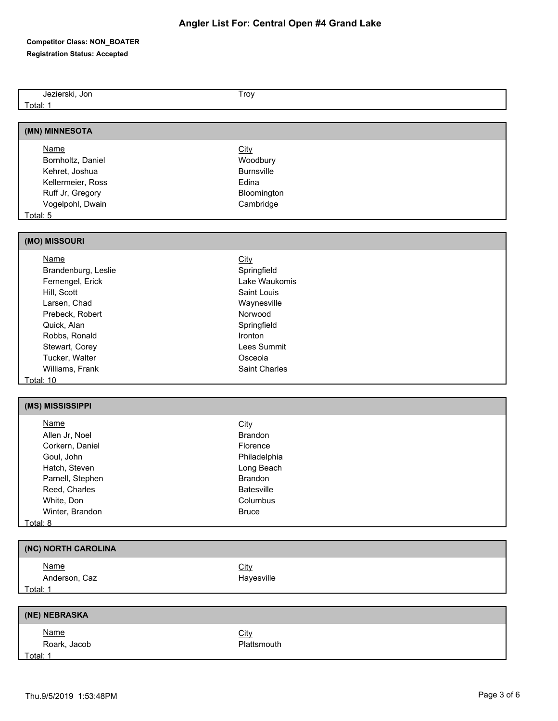| Jezierski, Jon      | Troy              |
|---------------------|-------------------|
| Total: 1            |                   |
|                     |                   |
| (MN) MINNESOTA      |                   |
| <b>Name</b>         |                   |
|                     | <b>City</b>       |
| Bornholtz, Daniel   | Woodbury          |
| Kehret, Joshua      | <b>Burnsville</b> |
| Kellermeier, Ross   | Edina             |
| Ruff Jr, Gregory    | Bloomington       |
| Vogelpohl, Dwain    | Cambridge         |
| Total: 5            |                   |
| (MO) MISSOURI       |                   |
|                     |                   |
| <b>Name</b>         | <b>City</b>       |
| Brandenburg, Leslie | Springfield       |
| Fernengel, Erick    | Lake Waukomis     |
| Hill, Scott         | Saint Louis       |
| Larsen, Chad        | Waynesville       |
| Prebeck, Robert     | Norwood           |
| Quick, Alan         | Springfield       |
| Robbs, Ronald       | Ironton           |
| Stewart, Corey      | Lees Summit       |
| Tucker, Walter      | Osceola           |
| Williams, Frank     | Saint Charles     |
| Total: 10           |                   |
|                     |                   |
| (MS) MISSISSIPPI    |                   |
| <b>Name</b>         | City              |
| Allen Jr, Noel      | Brandon           |
| Corkern, Daniel     | Florence          |
| Goul, John          | Philadelphia      |
| Hatch, Steven       | Long Beach        |
| Parnell, Stephen    | Brandon           |
| Reed, Charles       | Batesville        |
| White, Don          | Columbus          |
| Winter, Brandon     | <b>Bruce</b>      |
| Total: 8            |                   |
|                     |                   |
| (NC) NORTH CAROLINA |                   |
| <b>Name</b>         | City              |
| Anderson, Caz       | Hayesville        |
| Total: 1            |                   |
|                     |                   |
| (NE) NEBRASKA       |                   |
| <b>Name</b>         | <b>City</b>       |
| Roark, Jacob        | Plattsmouth       |
| Total: 1            |                   |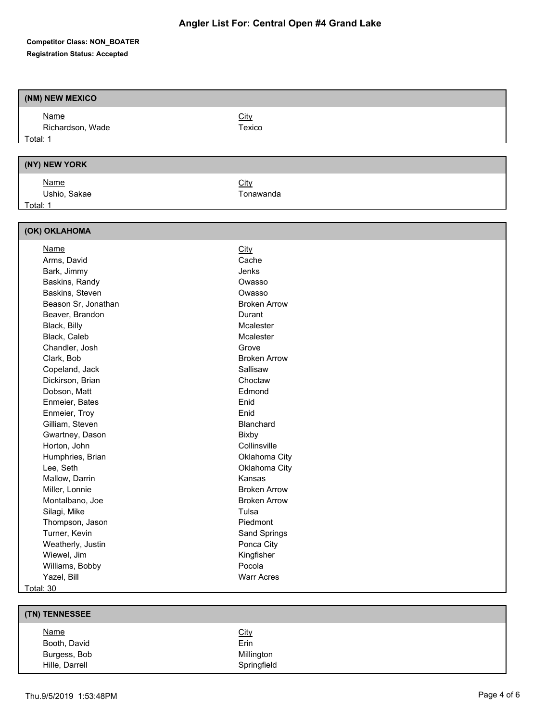| (NM) NEW MEXICO     |                     |
|---------------------|---------------------|
| <b>Name</b>         | City                |
| Richardson, Wade    | Texico              |
| Total: 1            |                     |
|                     |                     |
| (NY) NEW YORK       |                     |
| <b>Name</b>         | City                |
| Ushio, Sakae        | Tonawanda           |
| Total: 1            |                     |
|                     |                     |
| (OK) OKLAHOMA       |                     |
| <b>Name</b>         | City                |
| Arms, David         | Cache               |
| Bark, Jimmy         | Jenks               |
| Baskins, Randy      | Owasso              |
| Baskins, Steven     | Owasso              |
| Beason Sr, Jonathan | <b>Broken Arrow</b> |
| Beaver, Brandon     | Durant              |
| Black, Billy        | Mcalester           |
| Black, Caleb        | Mcalester           |
| Chandler, Josh      | Grove               |
| Clark, Bob          | <b>Broken Arrow</b> |
| Copeland, Jack      | Sallisaw            |
| Dickirson, Brian    | Choctaw             |
| Dobson, Matt        | Edmond              |
| Enmeier, Bates      | Enid                |
| Enmeier, Troy       | Enid                |
| Gilliam, Steven     | Blanchard           |
| Gwartney, Dason     | Bixby               |
| Horton, John        | Collinsville        |
| Humphries, Brian    | Oklahoma City       |
| Lee, Seth           | Oklahoma City       |
| Mallow, Darrin      | Kansas              |
| Miller, Lonnie      | <b>Broken Arrow</b> |
| Montalbano, Joe     | <b>Broken Arrow</b> |
| Silagi, Mike        | Tulsa               |
| Thompson, Jason     | Piedmont            |
| Turner, Kevin       | Sand Springs        |
| Weatherly, Justin   | Ponca City          |
| Wiewel, Jim         | Kingfisher          |
| Williams, Bobby     | Pocola              |
| Yazel, Bill         | <b>Warr Acres</b>   |
| Total: 30           |                     |

| (TN) TENNESSEE |             |
|----------------|-------------|
| <b>Name</b>    | <b>City</b> |
| Booth, David   | Erin        |
| Burgess, Bob   | Millington  |
| Hille, Darrell | Springfield |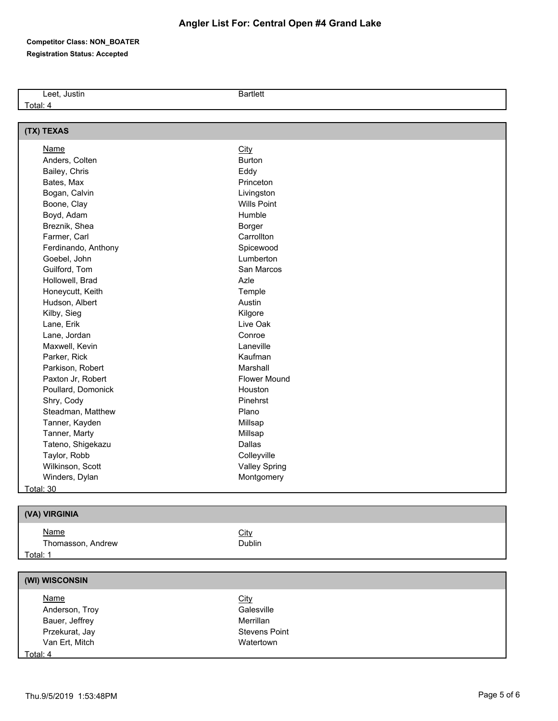Leet, Justin Bartlett

Total: 4

| (TX) TEXAS          |                      |
|---------------------|----------------------|
| <b>Name</b>         | City                 |
| Anders, Colten      | Burton               |
| Bailey, Chris       | Eddy                 |
| Bates, Max          | Princeton            |
| Bogan, Calvin       | Livingston           |
| Boone, Clay         | <b>Wills Point</b>   |
| Boyd, Adam          | Humble               |
| Breznik, Shea       | Borger               |
| Farmer, Carl        | Carrollton           |
| Ferdinando, Anthony | Spicewood            |
| Goebel, John        | Lumberton            |
| Guilford, Tom       | San Marcos           |
| Hollowell, Brad     | Azle                 |
| Honeycutt, Keith    | Temple               |
| Hudson, Albert      | Austin               |
| Kilby, Sieg         | Kilgore              |
| Lane, Erik          | Live Oak             |
| Lane, Jordan        | Conroe               |
| Maxwell, Kevin      | Laneville            |
| Parker, Rick        | Kaufman              |
| Parkison, Robert    | Marshall             |
| Paxton Jr, Robert   | <b>Flower Mound</b>  |
| Poullard, Domonick  | Houston              |
| Shry, Cody          | Pinehrst             |
| Steadman, Matthew   | Plano                |
| Tanner, Kayden      | Millsap              |
| Tanner, Marty       | Millsap              |
| Tateno, Shigekazu   | Dallas               |
| Taylor, Robb        | Colleyville          |
| Wilkinson, Scott    | <b>Valley Spring</b> |
| Winders, Dylan      | Montgomery           |
| Total: 30           |                      |
| (VA) VIRGINIA       |                      |
| <b>Name</b>         | City                 |
| Thomasson, Andrew   | Dublin               |
| Total: 1            |                      |
|                     |                      |
| (WI) WISCONSIN      |                      |
| <b>Name</b>         | <b>City</b>          |
| Anderson, Troy      | Galesville           |
| Bauer, Jeffrey      | Merrillan            |
| Przekurat, Jay      | <b>Stevens Point</b> |

Total: 4

Van Ert, Mitch Watertown